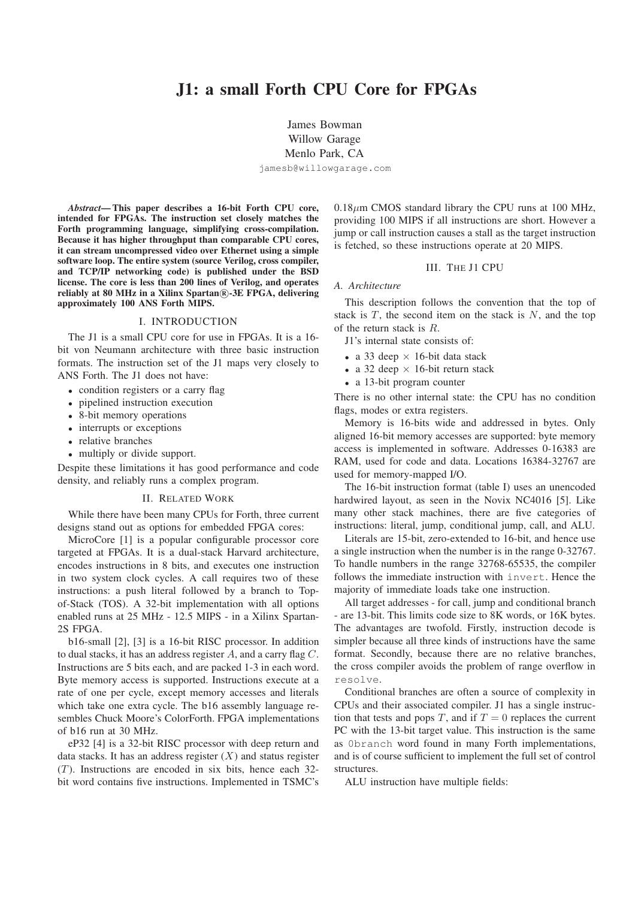# **J1: a small Forth CPU Core for FPGAs**

James Bowman Willow Garage Menlo Park, CA

jamesb@willowgarage.com

*Abstract***— This paper describes a 16-bit Forth CPU core, intended for FPGAs. The instruction set closely matches the Forth programming language, simplifying cross-compilation. Because it has higher throughput than comparable CPU cores, it can stream uncompressed video over Ethernet using a simple software loop. The entire system (source Verilog, cross compiler, and TCP/IP networking code) is published under the BSD license. The core is less than 200 lines of Verilog, and operates reliably at 80 MHz in a Xilinx Spartan <sup>R</sup> -3E FPGA, delivering approximately 100 ANS Forth MIPS.**

## I. INTRODUCTION

The J1 is a small CPU core for use in FPGAs. It is a 16 bit von Neumann architecture with three basic instruction formats. The instruction set of the J1 maps very closely to ANS Forth. The J1 does not have:

- condition registers or a carry flag
- pipelined instruction execution
- 8-bit memory operations
- interrupts or exceptions
- relative branches
- multiply or divide support.

Despite these limitations it has good performance and code density, and reliably runs a complex program.

## II. RELATED WORK

While there have been many CPUs for Forth, three current designs stand out as options for embedded FPGA cores:

MicroCore [1] is a popular configurable processor core targeted at FPGAs. It is a dual-stack Harvard architecture, encodes instructions in 8 bits, and executes one instruction in two system clock cycles. A call requires two of these instructions: a push literal followed by a branch to Topof-Stack (TOS). A 32-bit implementation with all options enabled runs at 25 MHz - 12.5 MIPS - in a Xilinx Spartan-2S FPGA.

b16-small [2], [3] is a 16-bit RISC processor. In addition to dual stacks, it has an address register  $A$ , and a carry flag  $C$ . Instructions are 5 bits each, and are packed 1-3 in each word. Byte memory access is supported. Instructions execute at a rate of one per cycle, except memory accesses and literals which take one extra cycle. The b16 assembly language resembles Chuck Moore's ColorForth. FPGA implementations of b16 run at 30 MHz.

eP32 [4] is a 32-bit RISC processor with deep return and data stacks. It has an address register  $(X)$  and status register  $(T)$ . Instructions are encoded in six bits, hence each 32bit word contains five instructions. Implemented in TSMC's

 $0.18 \mu m$  CMOS standard library the CPU runs at 100 MHz, providing 100 MIPS if all instructions are short. However a jump or call instruction causes a stall as the target instruction is fetched, so these instructions operate at 20 MIPS.

## III. THE J1 CPU

#### *A. Architecture*

This description follows the convention that the top of stack is  $T$ , the second item on the stack is  $N$ , and the top of the return stack is R.

J1's internal state consists of:

- a 33 deep  $\times$  16-bit data stack
- a 32 deep  $\times$  16-bit return stack
- a 13-bit program counter

There is no other internal state: the CPU has no condition flags, modes or extra registers.

Memory is 16-bits wide and addressed in bytes. Only aligned 16-bit memory accesses are supported: byte memory access is implemented in software. Addresses 0-16383 are RAM, used for code and data. Locations 16384-32767 are used for memory-mapped I/O.

The 16-bit instruction format (table I) uses an unencoded hardwired layout, as seen in the Novix NC4016 [5]. Like many other stack machines, there are five categories of instructions: literal, jump, conditional jump, call, and ALU.

Literals are 15-bit, zero-extended to 16-bit, and hence use a single instruction when the number is in the range 0-32767. To handle numbers in the range 32768-65535, the compiler follows the immediate instruction with invert. Hence the majority of immediate loads take one instruction.

All target addresses - for call, jump and conditional branch - are 13-bit. This limits code size to 8K words, or 16K bytes. The advantages are twofold. Firstly, instruction decode is simpler because all three kinds of instructions have the same format. Secondly, because there are no relative branches, the cross compiler avoids the problem of range overflow in resolve.

Conditional branches are often a source of complexity in CPUs and their associated compiler. J1 has a single instruction that tests and pops T, and if  $T = 0$  replaces the current PC with the 13-bit target value. This instruction is the same as 0branch word found in many Forth implementations, and is of course sufficient to implement the full set of control structures.

ALU instruction have multiple fields: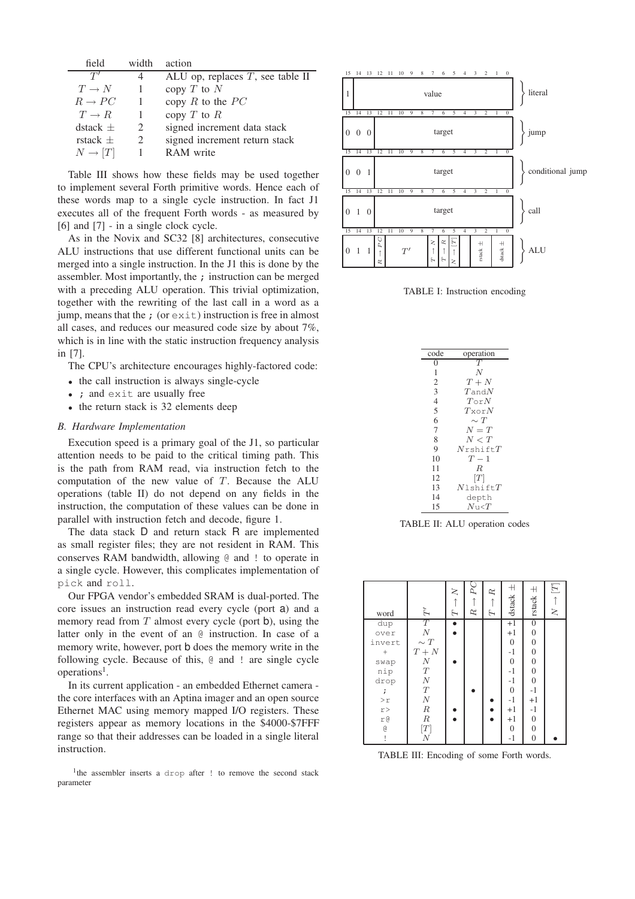| field               | width                       | action                              |
|---------------------|-----------------------------|-------------------------------------|
| T'                  |                             | ALU op, replaces $T$ , see table II |
| $T \rightarrow N$   |                             | copy $T$ to $N$                     |
| $R \to PC$          | 1                           | copy R to the $PC$                  |
| $T \to R$           |                             | copy $T$ to $R$                     |
| $\text{dstack} \pm$ | $\mathcal{D}_{\mathcal{L}}$ | signed increment data stack         |
| rstack $+$          | $\mathcal{D}_{\cdot}$       | signed increment return stack       |
| $N \to [T]$         |                             | RAM write                           |

Table III shows how these fields may be used together to implement several Forth primitive words. Hence each of these words map to a single cycle instruction. In fact J1 executes all of the frequent Forth words - as measured by [6] and  $[7]$  - in a single clock cycle.

As in the Novix and SC32 [8] architectures, consecutive ALU instructions that use different functional units can be merged into a single instruction. In the J1 this is done by the assembler. Most importantly, the ; instruction can be merged with a preceding ALU operation. This trivial optimization, together with the rewriting of the last call in a word as a jump, means that the  $\chi$  (or exit) instruction is free in almost all cases, and reduces our measured code size by about 7%, which is in line with the static instruction frequency analysis in [7].

The CPU's architecture encourages highly-factored code:

- the call instruction is always single-cycle
- ; and exit are usually free
- the return stack is 32 elements deep

## *B. Hardware Implementation*

Execution speed is a primary goal of the J1, so particular attention needs to be paid to the critical timing path. This is the path from RAM read, via instruction fetch to the computation of the new value of  $T$ . Because the ALU operations (table II) do not depend on any fields in the instruction, the computation of these values can be done in parallel with instruction fetch and decode, figure 1.

The data stack D and return stack R are implemented as small register files; they are not resident in RAM. This conserves RAM bandwidth, allowing @ and ! to operate in a single cycle. However, this complicates implementation of pick and roll.

Our FPGA vendor's embedded SRAM is dual-ported. The core issues an instruction read every cycle (port a) and a memory read from  $T$  almost every cycle (port b), using the latter only in the event of an @ instruction. In case of a memory write, however, port b does the memory write in the following cycle. Because of this, @ and ! are single cycle operations<sup>1</sup>.

In its current application - an embedded Ethernet camera the core interfaces with an Aptina imager and an open source Ethernet MAC using memory mapped I/O registers. These registers appear as memory locations in the \$4000-\$7FFF range so that their addresses can be loaded in a single literal instruction.

<sup>1</sup>the assembler inserts a drop after ! to remove the second stack parameter



TABLE I: Instruction encoding



TABLE II: ALU operation codes

| word          | $\tilde{\mathcal{F}}$                                                | $\geq$<br>$\overline{L}$ | $P$ C<br>ĸ | R<br>Ή | $^+$<br>dstackk  | $+$<br>rstack    | $\vdash$ [T]<br>$\geq$ |
|---------------|----------------------------------------------------------------------|--------------------------|------------|--------|------------------|------------------|------------------------|
| dup           | $\begin{array}{c} T \\ N \\ \sim T \end{array}$                      | $\bullet$                |            |        | $+1$             | $\boldsymbol{0}$ |                        |
| over          |                                                                      |                          |            |        | $+1$             | $\mathbf{0}$     |                        |
| invert        |                                                                      |                          |            |        | $\boldsymbol{0}$ | $\boldsymbol{0}$ |                        |
| $^{+}$        |                                                                      |                          |            |        | $-1$             | $\overline{0}$   |                        |
| swap          |                                                                      |                          |            |        | $\mathbf{0}$     | $\boldsymbol{0}$ |                        |
| nip           |                                                                      |                          |            |        | $-1$             | $\overline{0}$   |                        |
| drop          | $\begin{array}{c}\nT+N\\ N\\ T\\ N\\ T\\ \hline\nT\\ N\n\end{array}$ |                          |            |        | $-1$             | $\overline{0}$   |                        |
| $\ddot{ }$    |                                                                      |                          |            |        | $\mathbf{0}$     | $-1$             |                        |
| $>\!r$        | $\cal N$                                                             |                          |            |        | $-1$             | $+1$             |                        |
| $_\mathrm{r}$ | $\cal R$                                                             |                          |            |        | $+1$             | $-1$             |                        |
| r@            | $\cal R$                                                             |                          |            |        | $+1$             | $\mathbf{0}$     |                        |
| g             | $\begin{bmatrix} T \\ N \end{bmatrix}$                               |                          |            |        | $\overline{0}$   | $\overline{0}$   |                        |
|               |                                                                      |                          |            |        | $-1$             | $\overline{0}$   |                        |

TABLE III: Encoding of some Forth words.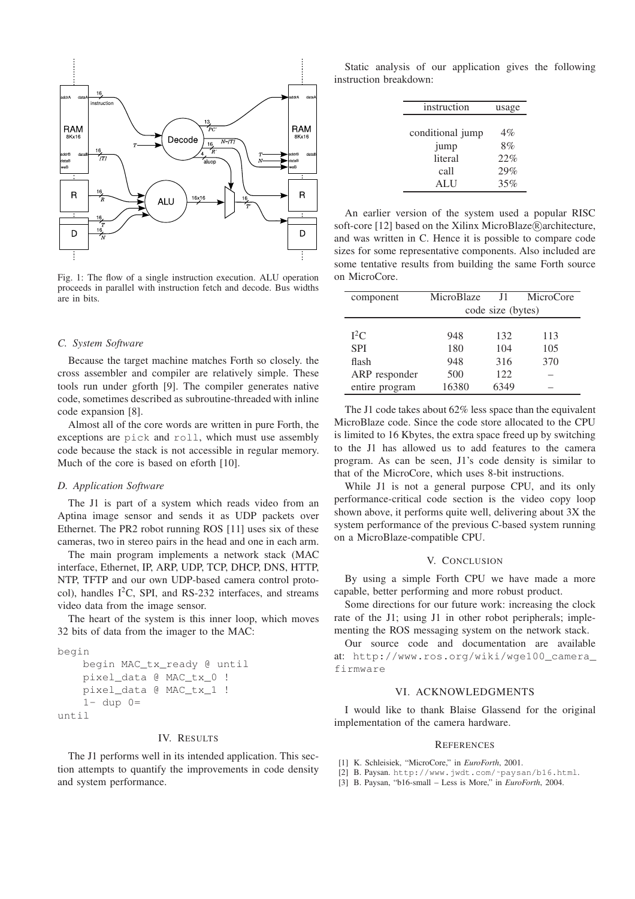

Fig. 1: The flow of a single instruction execution. ALU operation proceeds in parallel with instruction fetch and decode. Bus widths are in bits.

#### *C. System Software*

Because the target machine matches Forth so closely. the cross assembler and compiler are relatively simple. These tools run under gforth [9]. The compiler generates native code, sometimes described as subroutine-threaded with inline code expansion [8].

Almost all of the core words are written in pure Forth, the exceptions are pick and roll, which must use assembly code because the stack is not accessible in regular memory. Much of the core is based on eforth [10].

### *D. Application Software*

The J1 is part of a system which reads video from an Aptina image sensor and sends it as UDP packets over Ethernet. The PR2 robot running ROS [11] uses six of these cameras, two in stereo pairs in the head and one in each arm.

The main program implements a network stack (MAC interface, Ethernet, IP, ARP, UDP, TCP, DHCP, DNS, HTTP, NTP, TFTP and our own UDP-based camera control protocol), handles  $I^2C$ , SPI, and RS-232 interfaces, and streams video data from the image sensor.

The heart of the system is this inner loop, which moves 32 bits of data from the imager to the MAC:

```
begin
begin MAC_tx_ready @ until
pixel_data @ MAC_tx_0 !
pixel_data @ MAC_tx_1 !
1- dup 0=until
```
#### IV. RESULTS

The J1 performs well in its intended application. This section attempts to quantify the improvements in code density and system performance.

Static analysis of our application gives the following instruction breakdown:

| instruction      | usage |
|------------------|-------|
|                  |       |
| conditional jump | $4\%$ |
| jump             | 8%    |
| literal          | 22%   |
| call             | 29%   |
| <b>ALII</b>      | 35%   |

An earlier version of the system used a popular RISC soft-core [12] based on the Xilinx MicroBlaze (R) architecture, and was written in C. Hence it is possible to compare code sizes for some representative components. Also included are some tentative results from building the same Forth source on MicroCore.

| component      | MicroBlaze        | J1.  | MicroCore |  |  |  |
|----------------|-------------------|------|-----------|--|--|--|
|                | code size (bytes) |      |           |  |  |  |
|                |                   |      |           |  |  |  |
| $I^2C$         | 948               | 132  | 113       |  |  |  |
| <b>SPI</b>     | 180               | 104  | 105       |  |  |  |
| flash          | 948               | 316  | 370       |  |  |  |
| ARP responder  | 500               | 122. |           |  |  |  |
| entire program | 16380             | 6349 |           |  |  |  |

The J1 code takes about 62% less space than the equivalent MicroBlaze code. Since the code store allocated to the CPU is limited to 16 Kbytes, the extra space freed up by switching to the J1 has allowed us to add features to the camera program. As can be seen, J1's code density is similar to that of the MicroCore, which uses 8-bit instructions.

While J1 is not a general purpose CPU, and its only performance-critical code section is the video copy loop shown above, it performs quite well, delivering about 3X the system performance of the previous C-based system running on a MicroBlaze-compatible CPU.

## V. CONCLUSION

By using a simple Forth CPU we have made a more capable, better performing and more robust product.

Some directions for our future work: increasing the clock rate of the J1; using J1 in other robot peripherals; implementing the ROS messaging system on the network stack.

Our source code and documentation are available at: http://www.ros.org/wiki/wge100\_camera\_ firmware

## VI. ACKNOWLEDGMENTS

I would like to thank Blaise Glassend for the original implementation of the camera hardware.

#### **REFERENCES**

- [1] K. Schleisiek, "MicroCore," in *EuroForth*, 2001.
- [2] B. Paysan. http://www.jwdt.com/˜paysan/b16.html.
- [3] B. Paysan, "b16-small Less is More," in *EuroForth*, 2004.